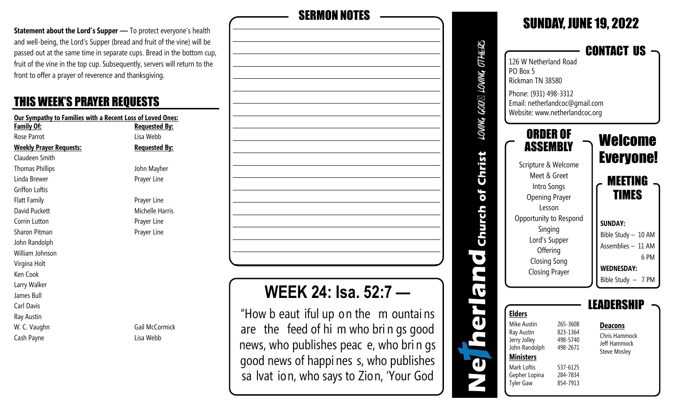**Statement about the Lord's Supper** - To protect everyone's health and well-being, the Lord's Supper (bread and fruit of the vine) will be passed out at the same time in separate cups. Bread in the bottom cup, fruit of the vine in the top cup. Subsequently, servers will return to the front to offer a prayer of reverence and thanksgiving.

## THIS WEEK'S PRAYER REQUESTS

| Our Sympathy to Families with a Recent Loss of Loved Ones: |                       |  |
|------------------------------------------------------------|-----------------------|--|
| <b>Family Of:</b>                                          | <b>Requested By:</b>  |  |
| Rose Parrot                                                | Lisa Webb             |  |
| <b>Weekly Prayer Requests:</b>                             | <b>Requested By:</b>  |  |
| Claudeen Smith                                             |                       |  |
| <b>Thomas Phillips</b>                                     | John Mayher           |  |
| Linda Brewer                                               | Prayer Line           |  |
| Griffon Loftis                                             |                       |  |
| <b>Flatt Family</b>                                        | Prayer Line           |  |
| David Puckett                                              | Michelle Harris       |  |
| Corrin Lutton                                              | Prayer Line           |  |
| Sharon Pitman                                              | Prayer Line           |  |
| John Randolph                                              |                       |  |
| William Johnson                                            |                       |  |
| Virgina Holt                                               |                       |  |
| Ken Cook                                                   |                       |  |
| Larry Walker                                               |                       |  |
| James Bull                                                 |                       |  |
| Carl Davis                                                 |                       |  |
| Ray Austin                                                 |                       |  |
| W. C. Vaughn                                               | <b>Gail McCormick</b> |  |
| Cash Payne                                                 | Lisa Webb             |  |



good news of happi nes s, who publishes

sa lvat ion, who says to Zion, 'Your God

|                          |                                                                                                                                                                                                                                        |                                                                                  | <b>SUNDAY, JUNE 19, 2022</b>                                                                                                                                             |
|--------------------------|----------------------------------------------------------------------------------------------------------------------------------------------------------------------------------------------------------------------------------------|----------------------------------------------------------------------------------|--------------------------------------------------------------------------------------------------------------------------------------------------------------------------|
| LOWING GOD⊠ LOWING OTHER | 126 W Netherland Road<br>PO Box 5<br>Rickman TN 38580<br>Phone: (931) 498-3312<br>Email: netherlandcoc@gmail.com<br>Website: www.netherlandcoc.org                                                                                     |                                                                                  | <b>CONTACT US</b>                                                                                                                                                        |
| of Christ                | <b>ORDER OF</b><br>ASSEMBLY<br>Scripture & Welcome<br>Meet & Greet<br>Intro Songs<br><b>Opening Prayer</b><br>Lesson<br>Opportunity to Respond<br>Singing<br>Lord's Supper<br>Offering<br><b>Closing Song</b><br><b>Closing Prayer</b> |                                                                                  | Welcome<br><b>Everyone!</b><br>MEETING<br><b>TIMES</b><br><b>SUNDAY:</b><br>Bible Study - 10 AM<br>Assemblies - 11 AM<br>6 PM<br><b>WEDNESDAY:</b><br>Bible Study - 7 PM |
|                          | <b>Elders</b><br>Mike Austin<br>Ray Austin<br>Jerry Jolley<br>John Randolph<br><b>Ministers</b><br>Mark Loftis<br>Gepher Lopina<br><b>Tyler Gaw</b>                                                                                    | 265-3608<br>823-1364<br>498-5740<br>498-2671<br>537-6125<br>284-7834<br>854-7913 | EADERSI<br><b>Deacons</b><br>Chris Hammock<br><b>Jeff Hammock</b><br><b>Steve Mosley</b>                                                                                 |